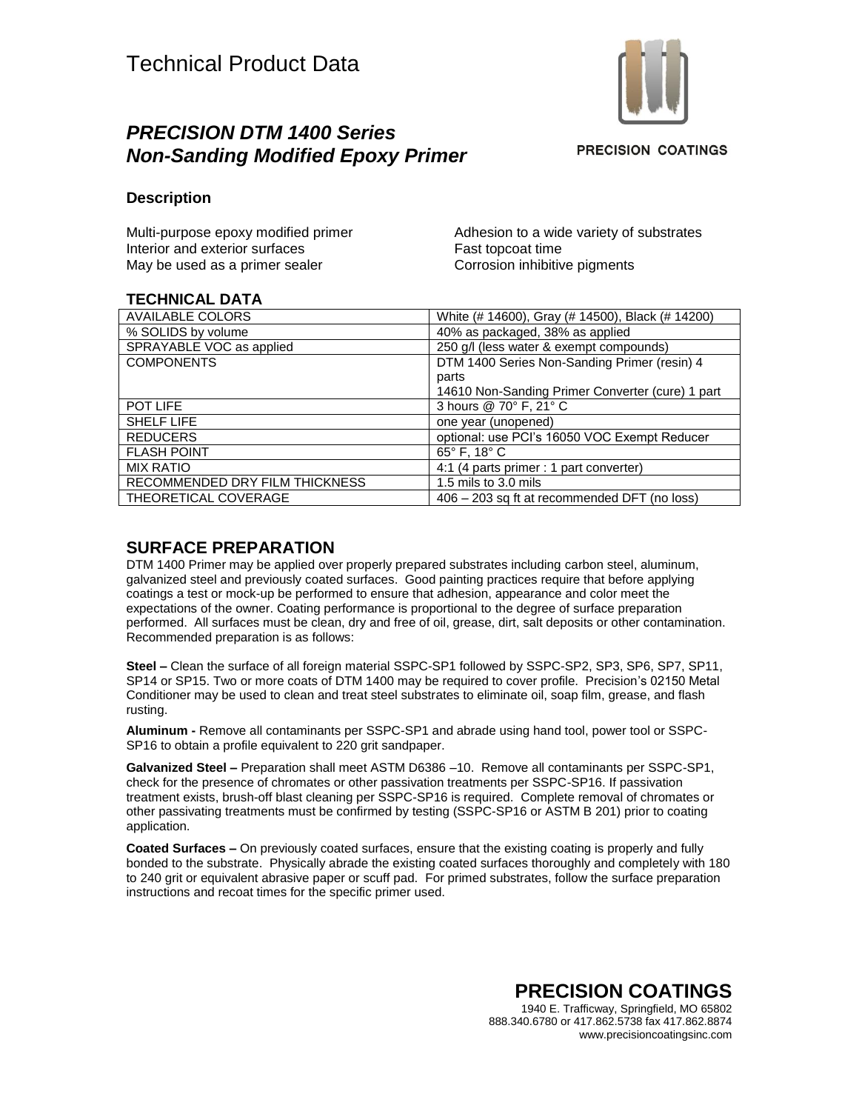

# *PRECISION DTM 1400 Series Non-Sanding Modified Epoxy Primer*

**PRECISION COATINGS** 

#### **Description**

Multi-purpose epoxy modified primer Interior and exterior surfaces May be used as a primer sealer

Adhesion to a wide variety of substrates Fast topcoat time Corrosion inhibitive pigments

#### **TECHNICAL DATA**

| <b>AVAILABLE COLORS</b>        | White (# 14600), Gray (# 14500), Black (# 14200) |
|--------------------------------|--------------------------------------------------|
| % SOLIDS by volume             | 40% as packaged, 38% as applied                  |
| SPRAYABLE VOC as applied       | 250 g/l (less water & exempt compounds)          |
| <b>COMPONENTS</b>              | DTM 1400 Series Non-Sanding Primer (resin) 4     |
|                                | parts                                            |
|                                | 14610 Non-Sanding Primer Converter (cure) 1 part |
| POT LIFE                       | 3 hours @ 70° F, 21° C                           |
| SHELF LIFE                     | one year (unopened)                              |
| <b>REDUCERS</b>                | optional: use PCI's 16050 VOC Exempt Reducer     |
| <b>FLASH POINT</b>             | $65^{\circ}$ F, 18 $^{\circ}$ C                  |
| <b>MIX RATIO</b>               | 4:1 (4 parts primer : 1 part converter)          |
| RECOMMENDED DRY FILM THICKNESS | 1.5 mils to 3.0 mils                             |
| THEORETICAL COVERAGE           | 406 – 203 sq ft at recommended DFT (no loss)     |

### **SURFACE PREPARATION**

DTM 1400 Primer may be applied over properly prepared substrates including carbon steel, aluminum, galvanized steel and previously coated surfaces. Good painting practices require that before applying coatings a test or mock-up be performed to ensure that adhesion, appearance and color meet the expectations of the owner. Coating performance is proportional to the degree of surface preparation performed. All surfaces must be clean, dry and free of oil, grease, dirt, salt deposits or other contamination. Recommended preparation is as follows:

**Steel –** Clean the surface of all foreign material SSPC-SP1 followed by SSPC-SP2, SP3, SP6, SP7, SP11, SP14 or SP15. Two or more coats of DTM 1400 may be required to cover profile. Precision's 02150 Metal Conditioner may be used to clean and treat steel substrates to eliminate oil, soap film, grease, and flash rusting.

**Aluminum -** Remove all contaminants per SSPC-SP1 and abrade using hand tool, power tool or SSPC-SP16 to obtain a profile equivalent to 220 grit sandpaper.

**Galvanized Steel –** Preparation shall meet ASTM D6386 –10. Remove all contaminants per SSPC-SP1, check for the presence of chromates or other passivation treatments per SSPC-SP16. If passivation treatment exists, brush-off blast cleaning per SSPC-SP16 is required. Complete removal of chromates or other passivating treatments must be confirmed by testing (SSPC-SP16 or ASTM B 201) prior to coating application.

**Coated Surfaces –** On previously coated surfaces, ensure that the existing coating is properly and fully bonded to the substrate. Physically abrade the existing coated surfaces thoroughly and completely with 180 to 240 grit or equivalent abrasive paper or scuff pad. For primed substrates, follow the surface preparation instructions and recoat times for the specific primer used.

> **PRECISION COATINGS** 1940 E. Trafficway, Springfield, MO 65802 888.340.6780 or 417.862.5738 fax 417.862.8874 www.precisioncoatingsinc.com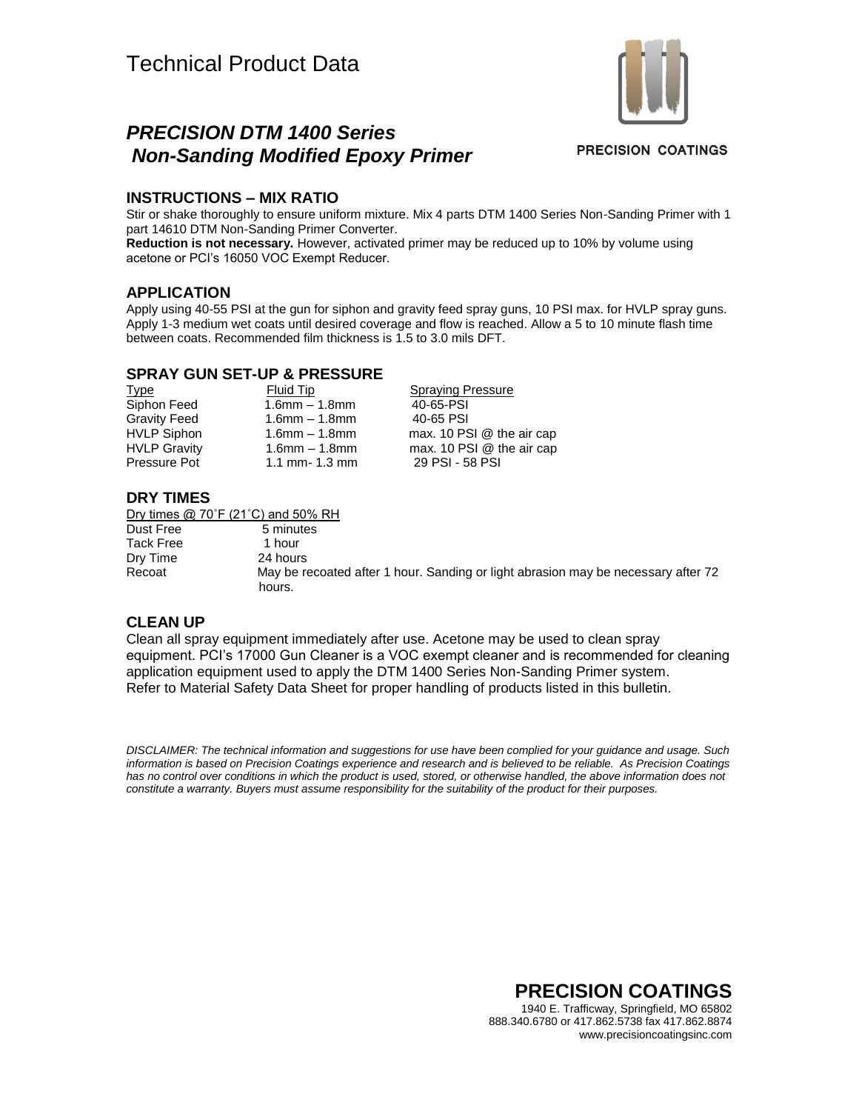# *PRECISION DTM 1400 Series Non-Sanding Modified Epoxy Primer*



**PRECISION COATINGS** 

### **INSTRUCTIONS – MIX RATIO**

Stir or shake thoroughly to ensure uniform mixture. Mix 4 parts DTM 1400 Series Non-Sanding Primer with 1 part 14610 DTM Non-Sanding Primer Converter.

**Reduction is not necessary.** However, activated primer may be reduced up to 10% by volume using acetone or PCI's 16050 VOC Exempt Reducer.

#### **APPLICATION**

Apply using 40-55 PSI at the gun for siphon and gravity feed spray guns, 10 PSI max. for HVLP spray guns. Apply 1-3 medium wet coats until desired coverage and flow is reached. Allow a 5 to 10 minute flash time between coats. Recommended film thickness is 1.5 to 3.0 mils DFT.

#### **SPRAY GUN SET-UP & PRESSURE**

Siphon Feed 1.6mm – 1.8mm 40-65-PSI Gravity Feed 1.6mm – 1.8mm 40-65 PSI

Type Fluid Tip Spraying Pressure HVLP Siphon 1.6mm – 1.8mm max. 10 PSI @ the air cap HVLP Gravity 1.6mm – 1.8mm max. 10 PSI @ the air cap Pressure Pot 1.1 mm- 1.3 mm 29 PSI - 58 PSI

### **DRY TIMES**

Dry times @ 70˚F (21˚C) and 50% RH

Dust Free 5 minutes Tack Free 1 hour Dry Time 24 hours Recoat May be recoated after 1 hour. Sanding or light abrasion may be necessary after 72 hours.

#### **CLEAN UP**

Clean all spray equipment immediately after use. Acetone may be used to clean spray equipment. PCI's 17000 Gun Cleaner is a VOC exempt cleaner and is recommended for cleaning application equipment used to apply the DTM 1400 Series Non-Sanding Primer system. Refer to Material Safety Data Sheet for proper handling of products listed in this bulletin.

*DISCLAIMER: The technical information and suggestions for use have been complied for your guidance and usage. Such information is based on Precision Coatings experience and research and is believed to be reliable. As Precision Coatings has no control over conditions in which the product is used, stored, or otherwise handled, the above information does not constitute a warranty. Buyers must assume responsibility for the suitability of the product for their purposes.*

> **PRECISION COATINGS** 1940 E. Trafficway, Springfield, MO 65802 888.340.6780 or 417.862.5738 fax 417.862.8874 www.precisioncoatingsinc.com